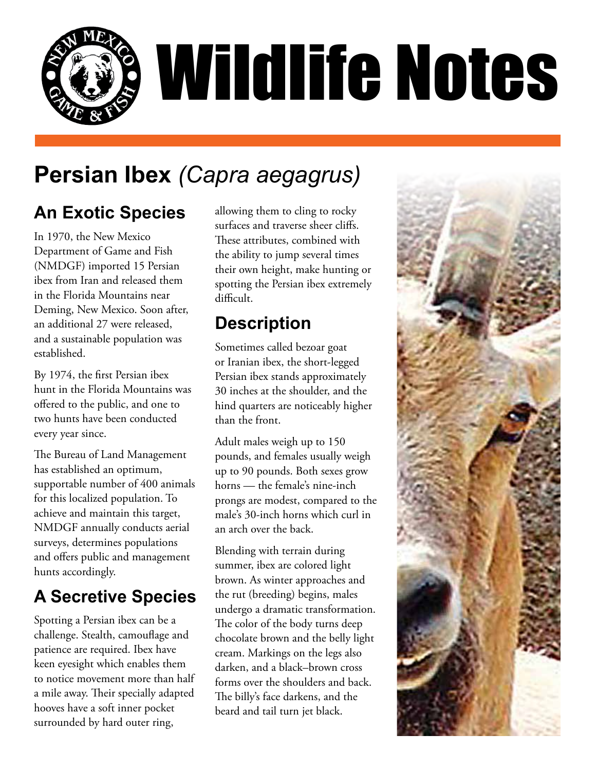

# **Persian Ibex** *(Capra aegagrus)*

# **An Exotic Species**

In 1970, the New Mexico Department of Game and Fish (NMDGF) imported 15 Persian ibex from Iran and released them in the Florida Mountains near Deming, New Mexico. Soon after, an additional 27 were released, and a sustainable population was established.

By 1974, the first Persian ibex hunt in the Florida Mountains was offered to the public, and one to two hunts have been conducted every year since.

The Bureau of Land Management has established an optimum, supportable number of 400 animals for this localized population. To achieve and maintain this target, NMDGF annually conducts aerial surveys, determines populations and offers public and management hunts accordingly.

# **A Secretive Species**

Spotting a Persian ibex can be a challenge. Stealth, camouflage and patience are required. Ibex have keen eyesight which enables them to notice movement more than half a mile away. Their specially adapted hooves have a soft inner pocket surrounded by hard outer ring,

allowing them to cling to rocky surfaces and traverse sheer cliffs. These attributes, combined with the ability to jump several times their own height, make hunting or spotting the Persian ibex extremely difficult.

# **Description**

Sometimes called bezoar goat or Iranian ibex, the short-legged Persian ibex stands approximately 30 inches at the shoulder, and the hind quarters are noticeably higher than the front.

Adult males weigh up to 150 pounds, and females usually weigh up to 90 pounds. Both sexes grow horns — the female's nine-inch prongs are modest, compared to the male's 30-inch horns which curl in an arch over the back.

Blending with terrain during summer, ibex are colored light brown. As winter approaches and the rut (breeding) begins, males undergo a dramatic transformation. The color of the body turns deep chocolate brown and the belly light cream. Markings on the legs also darken, and a black–brown cross forms over the shoulders and back. The billy's face darkens, and the beard and tail turn jet black.